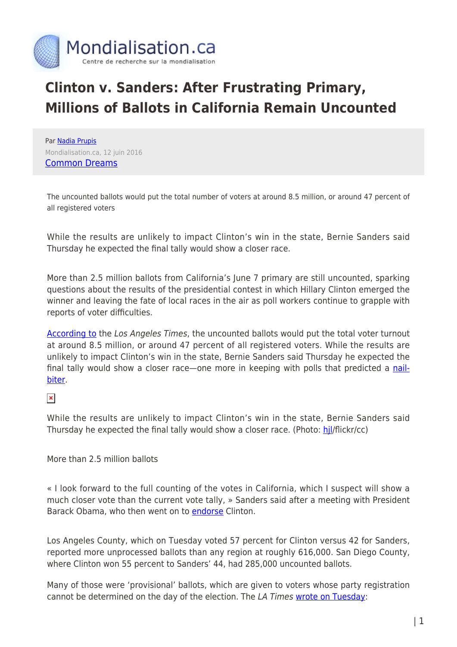

## **Clinton v. Sanders: After Frustrating Primary, Millions of Ballots in California Remain Uncounted**

Par [Nadia Prupis](https://www.mondialisation.ca/author/nadia-prupis) Mondialisation.ca, 12 juin 2016 [Common Dreams](http://www.commondreams.org/news/2016/06/10/after-frustrating-primary-millions-ballots-california-remain-uncounted)

The uncounted ballots would put the total number of voters at around 8.5 million, or around 47 percent of all registered voters

While the results are unlikely to impact Clinton's win in the state, Bernie Sanders said Thursday he expected the final tally would show a closer race.

More than 2.5 million ballots from California's June 7 primary are still uncounted, sparking questions about the results of the presidential contest in which Hillary Clinton emerged the winner and leaving the fate of local races in the air as poll workers continue to grapple with reports of voter difficulties.

[According to](http://www.latimes.com/politics/la-pol-ca-california-primary-there-are-more-than-2-5-million-1465520381-htmlstory.html) the Los Angeles Times, the uncounted ballots would put the total voter turnout at around 8.5 million, or around 47 percent of all registered voters. While the results are unlikely to impact Clinton's win in the state, Bernie Sanders said Thursday he expected the final tally would show a closer race—one more in keeping with polls that predicted a [nail](http://www.commondreams.org/news/2016/06/02/campaign-not-over-polls-show-dead-heat-california)[biter.](http://www.commondreams.org/news/2016/06/02/campaign-not-over-polls-show-dead-heat-california)

## $\pmb{\times}$

While the results are unlikely to impact Clinton's win in the state, Bernie Sanders said Thursday he expected the final tally would show a closer race. (Photo: hil/flickr/cc)

More than 2.5 million ballots

« I look forward to the full counting of the votes in California, which I suspect will show a much closer vote than the current vote tally, » Sanders said after a meeting with President Barack Obama, who then went on to [endorse](http://www.commondreams.org/news/2016/06/09/obama-endorses-clinton-sanders-vows-fight-progressive-future) Clinton.

Los Angeles County, which on Tuesday voted 57 percent for Clinton versus 42 for Sanders, reported more unprocessed ballots than any region at roughly 616,000. San Diego County, where Clinton won 55 percent to Sanders' 44, had 285,000 uncounted ballots.

Many of those were 'provisional' ballots, which are given to voters whose party registration cannot be determined on the day of the election. The LA Times [wrote on Tuesday:](http://www.latimes.com/politics/la-pol-ca-voting-problems-20160607-snap-htmlstory.html)